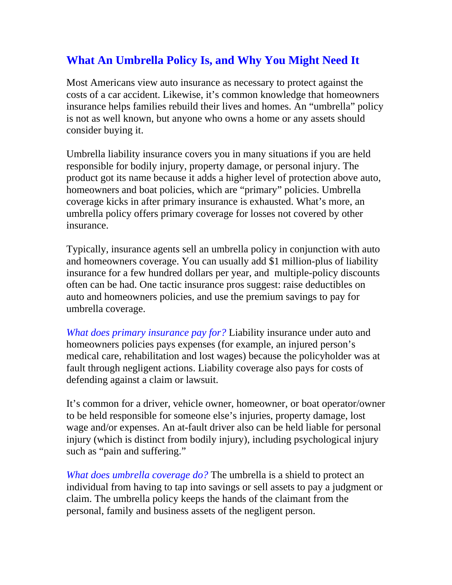## **What An Umbrella Policy Is, and Why You Might Need It**

Most Americans view auto insurance as necessary to protect against the costs of a car accident. Likewise, it's common knowledge that homeowners insurance helps families rebuild their lives and homes. An "umbrella" policy is not as well known, but anyone who owns a home or any assets should consider buying it.

Umbrella liability insurance covers you in many situations if you are held responsible for bodily injury, property damage, or personal injury. The product got its name because it adds a higher level of protection above auto, homeowners and boat policies, which are "primary" policies. Umbrella coverage kicks in after primary insurance is exhausted. What's more, an umbrella policy offers primary coverage for losses not covered by other insurance.

Typically, insurance agents sell an umbrella policy in conjunction with auto and homeowners coverage. You can usually add \$1 million-plus of liability insurance for a few hundred dollars per year, and multiple-policy discounts often can be had. One tactic insurance pros suggest: raise deductibles on auto and homeowners policies, and use the premium savings to pay for umbrella coverage.

*What does primary insurance pay for?* Liability insurance under auto and homeowners policies pays expenses (for example, an injured person's medical care, rehabilitation and lost wages) because the policyholder was at fault through negligent actions. Liability coverage also pays for costs of defending against a claim or lawsuit.

It's common for a driver, vehicle owner, homeowner, or boat operator/owner to be held responsible for someone else's injuries, property damage, lost wage and/or expenses. An at-fault driver also can be held liable for personal injury (which is distinct from bodily injury), including psychological injury such as "pain and suffering."

*What does umbrella coverage do?* The umbrella is a shield to protect an individual from having to tap into savings or sell assets to pay a judgment or claim. The umbrella policy keeps the hands of the claimant from the personal, family and business assets of the negligent person.